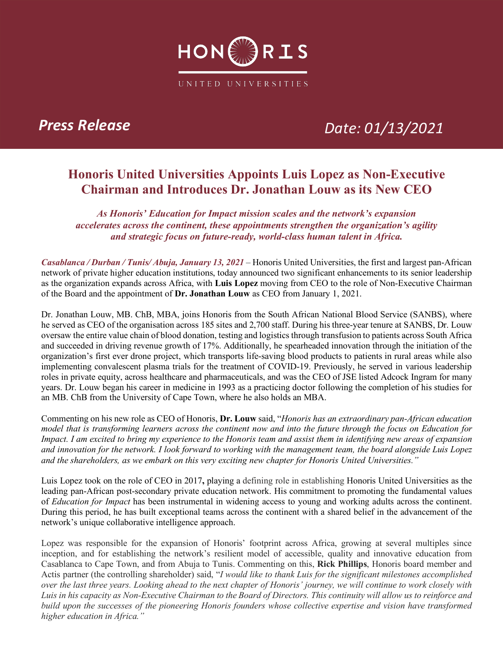

## *Press Release Date: 01/13/2021*

### **Honoris United Universities Appoints Luis Lopez as Non-Executive Chairman and Introduces Dr. Jonathan Louw as its New CEO**

*As Honoris' Education for Impact mission scales and the network's expansion accelerates across the continent, these appointments strengthen the organization's agility and strategic focus on future-ready, world-class human talent in Africa.*

*Casablanca / Durban / Tunis/ Abuja, January 13, 2021 –* Honoris United Universities, the first and largest pan-African network of private higher education institutions, today announced two significant enhancements to its senior leadership as the organization expands across Africa, with **Luis Lopez** moving from CEO to the role of Non-Executive Chairman of the Board and the appointment of **Dr. Jonathan Louw** as CEO from January 1, 2021.

Dr. Jonathan Louw, MB. ChB, MBA, joins Honoris from the South African National Blood Service (SANBS), where he served as CEO of the organisation across 185 sites and 2,700 staff. During his three-year tenure at SANBS, Dr. Louw oversaw the entire value chain of blood donation, testing and logistics through transfusion to patients across South Africa and succeeded in driving revenue growth of 17%. Additionally, he spearheaded innovation through the initiation of the organization's first ever drone project, which transports life-saving blood products to patients in rural areas while also implementing convalescent plasma trials for the treatment of COVID-19. Previously, he served in various leadership roles in private equity, across healthcare and pharmaceuticals, and was the CEO of JSE listed Adcock Ingram for many years. Dr. Louw began his career in medicine in 1993 as a practicing doctor following the completion of his studies for an MB. ChB from the University of Cape Town, where he also holds an MBA.

Commenting on his new role as CEO of Honoris, **Dr. Louw** said, "*Honoris has an extraordinary pan-African education model that is transforming learners across the continent now and into the future through the focus on Education for Impact. I am excited to bring my experience to the Honoris team and assist them in identifying new areas of expansion and innovation for the network. I look forward to working with the management team, the board alongside Luis Lopez and the shareholders, as we embark on this very exciting new chapter for Honoris United Universities."*

Luis Lopez took on the role of CEO in 2017**,** playing a defining role in establishing Honoris United Universities as the leading pan-African post-secondary private education network. His commitment to promoting the fundamental values of *Education for Impact* has been instrumental in widening access to young and working adults across the continent. During this period, he has built exceptional teams across the continent with a shared belief in the advancement of the network's unique collaborative intelligence approach.

Lopez was responsible for the expansion of Honoris' footprint across Africa, growing at several multiples since inception, and for establishing the network's resilient model of accessible, quality and innovative education from Casablanca to Cape Town, and from Abuja to Tunis. Commenting on this, **Rick Phillips**, Honoris board member and Actis partner (the controlling shareholder) said, "*I would like to thank Luis for the significant milestones accomplished over the last three years. Looking ahead to the next chapter of Honoris' journey, we will continue to work closely with Luis in his capacity as Non-Executive Chairman to the Board of Directors. This continuity will allow us to reinforce and build upon the successes of the pioneering Honoris founders whose collective expertise and vision have transformed higher education in Africa."*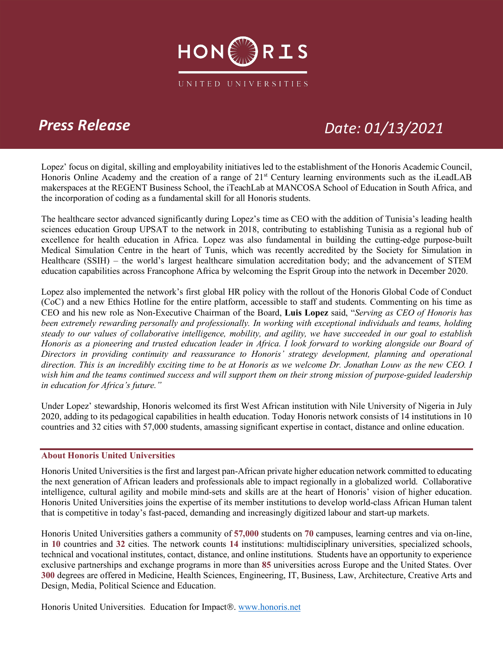

### *Press Release Date: 01/13/2021*

Lopez' focus on digital, skilling and employability initiatives led to the establishment of the Honoris Academic Council, Honoris Online Academy and the creation of a range of 21<sup>st</sup> Century learning environments such as the iLeadLAB makerspaces at the REGENT Business School, the iTeachLab at MANCOSA School of Education in South Africa, and the incorporation of coding as a fundamental skill for all Honoris students.

The healthcare sector advanced significantly during Lopez's time as CEO with the addition of Tunisia's leading health sciences education Group UPSAT to the network in 2018, contributing to establishing Tunisia as a regional hub of excellence for health education in Africa. Lopez was also fundamental in building the cutting-edge purpose-built Medical Simulation Centre in the heart of Tunis, which was recently accredited by the Society for Simulation in Healthcare (SSIH) – the world's largest healthcare simulation accreditation body; and the advancement of STEM education capabilities across Francophone Africa by welcoming the Esprit Group into the network in December 2020.

Lopez also implemented the network's first global HR policy with the rollout of the Honoris Global Code of Conduct (CoC) and a new Ethics Hotline for the entire platform, accessible to staff and students. Commenting on his time as CEO and his new role as Non-Executive Chairman of the Board, **Luis Lopez** said, "*Serving as CEO of Honoris has been extremely rewarding personally and professionally. In working with exceptional individuals and teams, holding steady to our values of collaborative intelligence, mobility, and agility, we have succeeded in our goal to establish Honoris as a pioneering and trusted education leader in Africa. I look forward to working alongside our Board of Directors in providing continuity and reassurance to Honoris' strategy development, planning and operational direction. This is an incredibly exciting time to be at Honoris as we welcome Dr. Jonathan Louw as the new CEO. I wish him and the teams continued success and will support them on their strong mission of purpose-guided leadership in education for Africa's future."*

Under Lopez' stewardship, Honoris welcomed its first West African institution with Nile University of Nigeria in July 2020, adding to its pedagogical capabilities in health education. Today Honoris network consists of 14 institutions in 10 countries and 32 cities with 57,000 students, amassing significant expertise in contact, distance and online education.

### **About Honoris United Universities**

Honoris United Universities is the first and largest pan-African private higher education network committed to educating the next generation of African leaders and professionals able to impact regionally in a globalized world. Collaborative intelligence, cultural agility and mobile mind-sets and skills are at the heart of Honoris' vision of higher education. Honoris United Universities joins the expertise of its member institutions to develop world-class African Human talent that is competitive in today's fast-paced, demanding and increasingly digitized labour and start-up markets.

Honoris United Universities gathers a community of **57,000** students on **70** campuses, learning centres and via on-line, in **10** countries and **32** cities. The network counts **14** institutions: multidisciplinary universities, specialized schools, technical and vocational institutes, contact, distance, and online institutions. Students have an opportunity to experience exclusive partnerships and exchange programs in more than **85** universities across Europe and the United States. Over **300** degrees are offered in Medicine, Health Sciences, Engineering, IT, Business, Law, Architecture, Creative Arts and Design, Media, Political Science and Education.

Honoris United Universities. Education for Impact®. www.honoris.net